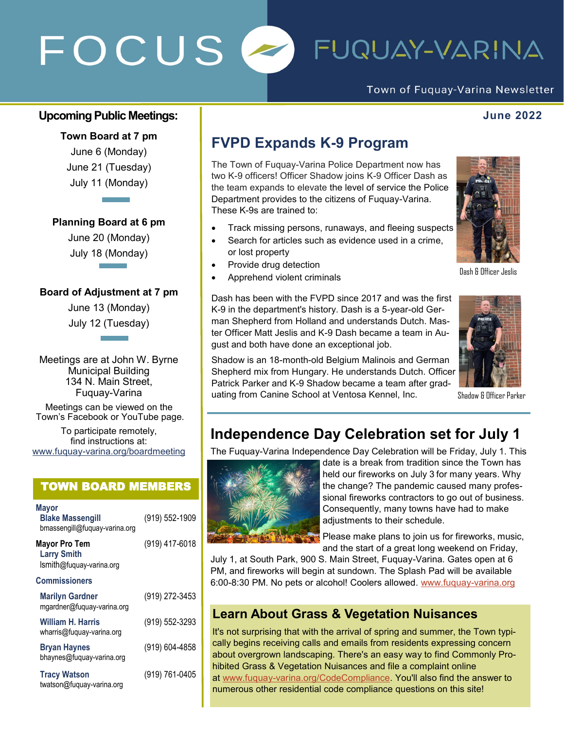# FOCUS  $\overline{\phantom{a}}$ FUQUAY-VARINA

Town of Fuquay-Varina Newsletter

#### **Upcoming Public Meetings: June 2022**

**Town Board at 7 pm** June 6 (Monday) June 21 (Tuesday) July 11 (Monday)

**Planning Board at 6 pm**

June 20 (Monday) July 18 (Monday)

#### **Board of Adjustment at 7 pm**

June 13 (Monday) July 12 (Tuesday)

Meetings are at John W. Byrne Municipal Building 134 N. Main Street, Fuquay-Varina

Meetings can be viewed on the Town's Facebook or YouTube page.

To participate remotely, find instructions at: www.fuquay-[varina.org/boardmeeting](http://www.fuquay-varina.org/boardmeeting)

#### TOWN BOARD MEMBERS

| Mayor<br><b>Blake Massengill</b><br>bmassengill@fuquay-varina.org | (919) 552-1909 |
|-------------------------------------------------------------------|----------------|
| Mayor Pro Tem<br><b>Larry Smith</b><br>Ismith@fuquay-varina.org   | (919) 417-6018 |
| Commissioners                                                     |                |
| <b>Marilyn Gardner</b><br>mgardner@fuquay-varina.org              | (919) 272-3453 |
| William H. Harris<br>wharris@fuguay-varina.org                    | (919) 552-3293 |
| <b>Bryan Haynes</b><br>bhaynes@fuquay-varina.org                  | (919) 604-4858 |
| <b>Tracy Watson</b><br>twatson@fuquay-varina.org                  | (919) 761-0405 |

## **FVPD Expands K-9 Program**

The Town of Fuquay-Varina Police Department now has two K-9 officers! Officer Shadow joins K-9 Officer Dash as the team expands to elevate the level of service the Police Department provides to the citizens of Fuquay-Varina. These K-9s are trained to:

- Track missing persons, runaways, and fleeing suspects
- Search for articles such as evidence used in a crime, or lost property
- Provide drug detection
- Apprehend violent criminals

Dash has been with the FVPD since 2017 and was the first K-9 in the department's history. Dash is a 5-year-old German Shepherd from Holland and understands Dutch. Master Officer Matt Jeslis and K-9 Dash became a team in August and both have done an exceptional job.

Shadow is an 18-month-old Belgium Malinois and German Shepherd mix from Hungary. He understands Dutch. Officer Patrick Parker and K-9 Shadow became a team after graduating from Canine School at Ventosa Kennel, Inc.



Dash & Officer Jeslis



Shadow & Officer Parker

## **Independence Day Celebration set for July 1**

The Fuquay-Varina Independence Day Celebration will be Friday, July 1. This



date is a break from tradition since the Town has held our fireworks on July 3 for many years. Why the change? The pandemic caused many professional fireworks contractors to go out of business. Consequently, many towns have had to make adjustments to their schedule.

Please make plans to join us for fireworks, music, and the start of a great long weekend on Friday,

July 1, at South Park, 900 S. Main Street, Fuquay-Varina. Gates open at 6 PM, and fireworks will begin at sundown. The Splash Pad will be available 6:00-8:30 PM. No pets or alcohol! Coolers allowed. [www.fuquay](https://www.fuquay-varina.org)-varina.org

### **Learn About Grass & Vegetation Nuisances**

It's not surprising that with the arrival of spring and summer, the Town typically begins receiving calls and emails from residents expressing concern about overgrown landscaping. There's an easy way to find Commonly Prohibited Grass & Vegetation Nuisances and file a complaint online at www.fuquay-[varina.org/CodeCompliance.](http://www.fuquay-varina.org/CodeCompliance) You'll also find the answer to numerous other residential code compliance questions on this site!